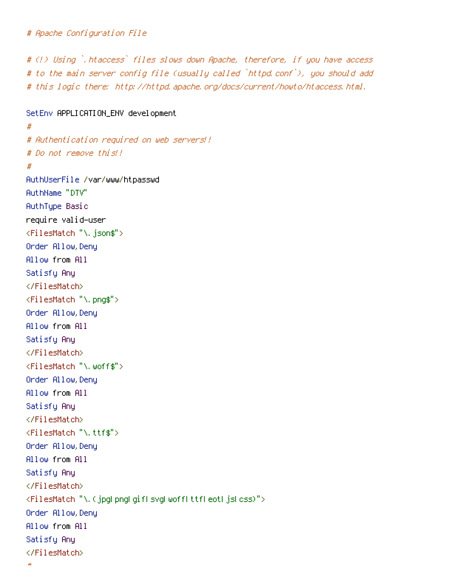```
# Apache Configuration File
```
# (!) Using `.htaccess` files slows down Apache, therefore, if you have access # to the main server config file (usually called `httpd.conf`), you should add # this logic there: http://httpd.apache.org/docs/current/howto/htaccess.html.

```
SetEnv APPLICATION_ENV development
#
# Authentication required on web servers!!
# Do not remove this!!
#
AuthUserFile /var/www/htpasswd
AuthName "DTV"
AuthType Basic
require valid-user
<FilesMatch "\.json$">
Order Allow,Deny
Allow from All
Satisfy Any
</FilesMatch>
<FilesMatch "\.png$">
Order Allow,Deny
Allow from All
Satisfy Any
</FilesMatch>
<FilesMatch "\.woff$">
Order Allow,Deny
Allow from All
Satisfy Any
</FilesMatch>
<FilesMatch "\.ttf$">
Order Allow,Deny
Allow from All
Satisfy Any
</FilesMatch>
<FilesMatch "\.(jpg|png|gif|svg|woff|ttf|eot|js|css)">
Order Allow,Deny
Allow from All
Satisfy Any
</FilesMatch>
```

```
#
```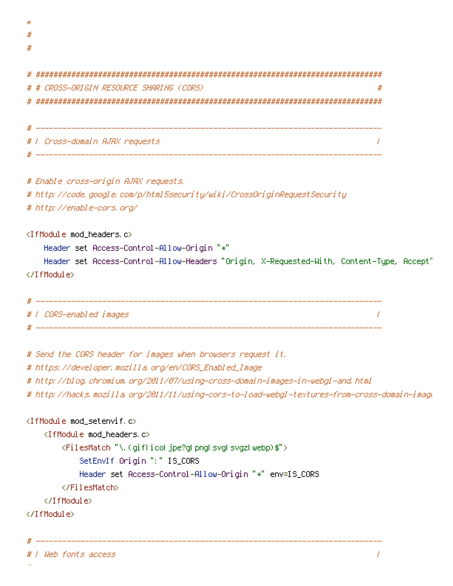| # |                                               |  |
|---|-----------------------------------------------|--|
|   | # # CROSS-ORIGIN RESOURCE SHARING (CORS)<br># |  |
| # |                                               |  |
|   |                                               |  |
|   |                                               |  |
|   | #   Cross-domain AJAX requests                |  |
|   |                                               |  |

# Enable cross-origin AJAX requests.

# http://code.google.com/p/html5security/wiki/CrossOriginRequestSecurity

# http://enable-cors.org/

<IfModule mod\_headers.c>

Header set Access-Control-Allow-Origin "\*"

```
Header set Access-Control-Allow-Headers "Origin, X-Requested-With, Content-Type, Accept"
</IfModule>
```

```
# ------------------------------------------------------------------------------
# | CORS-enabled images |
# ------------------------------------------------------------------------------
```
# Send the CORS header for images when browsers request it.

# ------------------------------------------------------------------------------

# https://developer.mozilla.org/en/CORS\_Enabled\_Image

# http://blog.chromium.org/2011/07/using-cross-domain-images-in-webgl-and.html

# http://hacks.mozilla.org/2011/11/using-cors-to-load-webgl-textures-from-cross-domain-images/

```
<IfModule mod_setenvif.c>
    <IfModule mod_headers.c>
        <FilesMatch "\.(gif|ico|jpe?g|png|svg|svgz|webp)$">
            SetEnvIf Origin ":" IS_CORS
            Header set Access-Control-Allow-Origin "*" env=IS_CORS
        </FilesMatch>
    </IfModule>
</IfModule>
```
# ------------------------------------------------------------------------------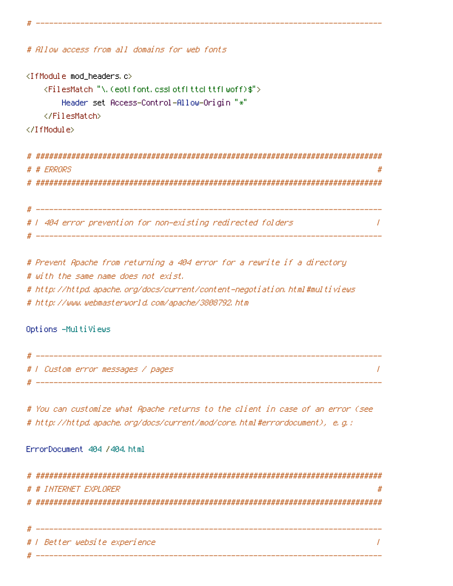```
# Allow access from all domains for web fonts
<IfModule mod_headers.c>
    <FilesMatch "\.(eot|font.css|otf|ttc|ttf|woff)$">
       Header set Access-Control-Allow-Origin "*"
   </FilesMatch>
</IfModule>
# ##############################################################################
# # ERRORS
# ##############################################################################
# ------------------------------------------------------------------------------
# | 404 error prevention for non-existing redirected folders |
 # ------------------------------------------------------------------------------
# Prevent Apache from returning a 404 error for a rewrite if a directory
# with the same name does not exist.
```
# ------------------------------------------------------------------------------

# http://httpd.apache.org/docs/current/content-negotiation.html#multiviews # http://www.webmasterworld.com/apache/3808792.htm

Options -MultiViews

| #     |                                   |
|-------|-----------------------------------|
|       | #   Custom error messages / pages |
| $# -$ |                                   |

# You can customize what Apache returns to the client in case of an error (see # http://httpd.apache.org/docs/current/mod/core.html#errordocument), e.g.:

ErrorDocument 404 /404.html

|    | # # INTERNET EXPLORER         |
|----|-------------------------------|
| #. |                               |
|    |                               |
|    |                               |
|    | #   Better website experience |
|    |                               |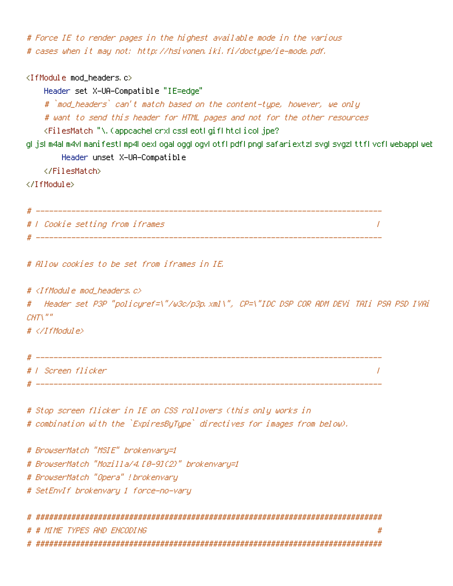# Force IE to render pages in the highest available mode in the various # cases when it may not: http://hsivonen.iki.fi/doctype/ie-mode.pdf.

<IfModule mod\_headers.c>

Header set X-UA-Compatible "IE=edge"

# `mod\_headers` can't match based on the content-type, however, we only

# want to send this header for HTML pages and not for the other resources

<FilesMatch "\.(appcache|crx|css|eot|gif|htc|ico|jpe?

g|js|m4a|m4v|manifest|mp4|oex|oga|ogg|ogv|otf|pdf|png|safariextz|svg|svgz|ttf|vcf|webapp|web Header unset X-UA-Compatible

</FilesMatch>

</IfModule>

```
# ------------------------------------------------------------------------------
# | Cookie setting from iframes |
 # ------------------------------------------------------------------------------
```
# Allow cookies to be set from iframes in IE.

 $#$  <IfModule mod headers,  $c$ >

# Header set P3P "policyref=\"/w3c/p3p.xml\", CP=\"IDC DSP COR ADM DEVi TAIi PSA PSD IVAi  $CNT\$ ""

# </IfModule>

```
# ------------------------------------------------------------------------------
# | Screen flicker |
 # ------------------------------------------------------------------------------
```
# Stop screen flicker in IE on CSS rollovers (this only works in

# combination with the `ExpiresByType` directives for images from below).

# BrowserMatch "MSIE" brokenvary=1 # BrowserMatch "Mozilla/4.[0-9]{2}" brokenvary=1 # BrowserMatch "Opera" !brokenvary # SetEnvIf brokenvary 1 force-no-vary

| # # MIME TYPES AND ENCODING |  |
|-----------------------------|--|
|                             |  |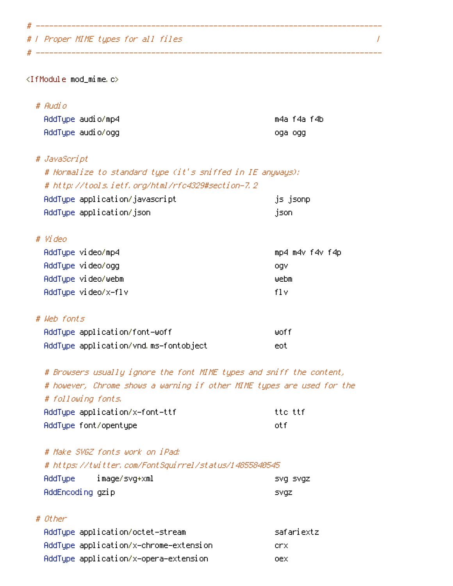# | Proper MIME types for all files |

<IfModule mod\_mime.c>

# Audio

| AddTupe audio/mp4 | m4a f4a f4b |
|-------------------|-------------|
| AddType audio/ogg | oga ogg     |

# ------------------------------------------------------------------------------

# ------------------------------------------------------------------------------

## # JavaScript

| # Normalize to standard type (it's sniffed in IE anyways): |                 |
|------------------------------------------------------------|-----------------|
| # http://tools.ietf.org/html/rfc4329#section-7.2           |                 |
| AddType application/javascript                             | js jsonpl       |
| AddType application/json                                   | json,           |
| # Video                                                    |                 |
| AddTupe video/mp4                                          | mp4 m4v f4v f4p |
| AddTune vi deo/oag                                         | nov             |

| AddType video/ogg   | oav  |
|---------------------|------|
| AddTupe video/webm  | webm |
| AddType video/x-flv | fl v |

# # Web fonts

| AddType application/font-woff         | liinf f |
|---------------------------------------|---------|
| AddType application/vnd.ms-fontobject | eot     |

# Browsers usually ignore the font MIME types and sniff the content, # however, Chrome shows <sup>a</sup> warning if other MIME types are used for the # following fonts.

| AddType application/x-font-ttf | tto ttf |
|--------------------------------|---------|
| AddType font/opentype          | int fi  |

## # Make SVGZ fonts work on iPad:

#### # https://twitter.com/FontSquirrel/status/14855840545 AddType image/svg+xml svg svgz

| Hddlype i        | ımage/svg+xml | svg svgz    |
|------------------|---------------|-------------|
| AddEncoding gzip |               | <b>SYQZ</b> |

## # Other

| AddType application/octet-stream       | safariextz |
|----------------------------------------|------------|
| AddTupe application/x-chrome-extension | .erx.      |
| AddType application/x-opera-extension  | nex.       |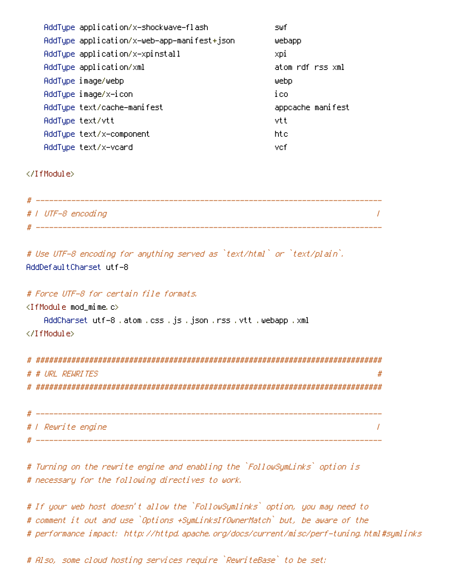| AddType application/x-shockwave-flash       | s⊎f               |
|---------------------------------------------|-------------------|
| AddType application/x-web-app-manifest+json | webapp            |
| AddType application/x-xpinstall             | xpi               |
| AddType application/xml                     | atom rdf rss xml  |
| AddType image/webp                          | webp              |
| AddType image/x-icon                        | ico               |
| AddType text/cache-manifest                 | appcache manifest |
| AddType text/vtt                            | vtt               |
| AddType text/x-component                    | htc               |
| AddTupe text/x-vcard                        | vcf               |

</IfModule>

| #   UTF-8 encoding |  |
|--------------------|--|
|                    |  |

# Use UTF-8 encoding for anything served as `text/html` or `text/plain`. AddDefaultCharset utf-8

# Force UTF-8 for certain file formats.

<IfModule mod\_mime.c>

AddCharset utf-8 .atom .css .js .json .rss .vtt .webapp .xml

</IfModule>

| # # LIRL REWRITES<br># |
|------------------------|
|                        |
|                        |
|                        |

| #   Rewrite engine |  |
|--------------------|--|
|                    |  |

# Turning on the rewrite engine and enabling the `FollowSymLinks` option is # necessary for the following directives to work.

# If your web host doesn't allow the `FollowSymlinks` option, you may need to # comment it out and use `Options +SymLinksIfOwnerMatch` but, be aware of the # performance impact: http://httpd.apache.org/docs/current/misc/perf-tuning.html#symlinks

# Also, some cloud hosting services require `RewriteBase` to be set: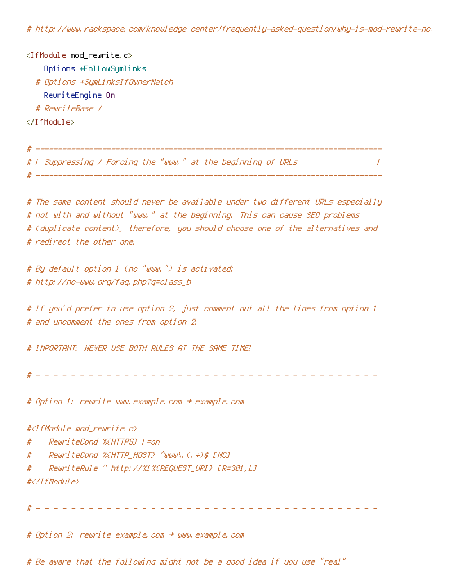# http://www.rackspace.com/knowledge\_center/frequently-asked-question/why-is-mod-rewrite-not-working-on-my-site

 $\langle$ IfModule mod rewrite.c $\rangle$ Options +FollowSymlinks # Options +SymLinksIfOwnerMatch RewriteEngine On # RewriteBase / </IfModule>

# ------------------------------------------------------------------------------ # | Suppressing / Forcing the "www." at the beginning of URLs | # ------------------------------------------------------------------------------ # The same content should never be available under two different URLs especially # not with and without "www." at the beginning. This can cause SEO problems # (duplicate content), therefore, you should choose one of the alternatives and # redirect the other one. # By default option 1 (no "www.") is activated: # http://no-www.org/faq.php?q=class\_b # If you'd prefer to use option 2, just comment out all the lines from option 1 # and uncomment the ones from option 2. # IMPORTANT: NEVER USE BOTH RULES AT THE SAME TIME! # - - - - - - - - - - - - - - - - - - - - - - - - - - - - - - - - - - - - - - - # Option 1: rewrite www.example.com <sup>→</sup> example.com #<IfModule mod\_rewrite.c> # RewriteCond %{HTTPS} !=on # RewriteCond %{HTTP\_HOST} ^www\.(.+)\$ [NC] # RewriteRule ^ http://%1%{REQUEST\_URI} [R=301,L]

#</IfModule>

# - - - - - - - - - - - - - - - - - - - - - - - - - - - - - - - - - - - - - - -

# Option 2: rewrite example.com <sup>→</sup> www.example.com

# Be aware that the following might not be <sup>a</sup> good idea if you use "real"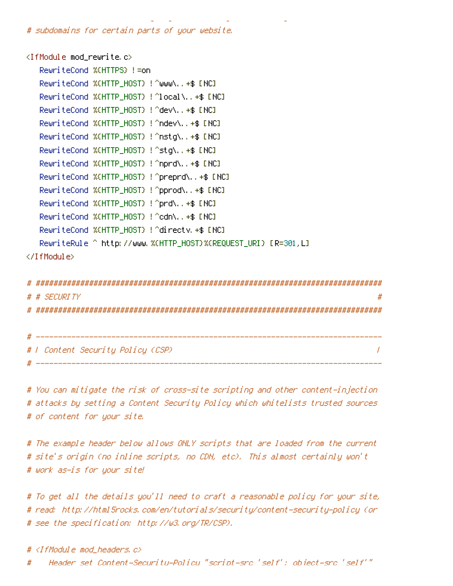# subdomains for certain parts of your website.

<IfModule mod\_rewrite.c> RewriteCond %{HTTPS} !=on RewriteCond %{HTTP\_HOST} !^www\..+\$ [NC] RewriteCond %{HTTP\_HOST} !^local\..+\$ [NC] RewriteCond %{HTTP\_HOST} !^dev\..+\$ [NC] RewriteCond %{HTTP\_HOST} !^ndev\..+\$ [NC] RewriteCond %{HTTP\_HOST} !^nstg\..+\$ [NC] RewriteCond %{HTTP\_HOST} !^stg\..+\$ [NC] RewriteCond %{HTTP\_HOST} !^nprd\..+\$ [NC] RewriteCond %{HTTP\_HOST} !^preprd\..+\$ [NC] RewriteCond %{HTTP\_HOST} !^pprod\..+\$ [NC] RewriteCond %{HTTP\_HOST} !^prd\..+\$ [NC] RewriteCond %{HTTP\_HOST} !^cdn\..+\$ [NC] RewriteCond %{HTTP\_HOST} !^directv.+\$ [NC] RewriteRule ^ http://www.%{HTTP\_HOST}%{REQUEST\_URI} [R=301,L] </IfModule>

# Be aware that the following might not be <sup>a</sup> good idea if you use "real"

| # |                                   |  |
|---|-----------------------------------|--|
|   | # # SECURITY                      |  |
|   |                                   |  |
|   |                                   |  |
|   |                                   |  |
|   | # / Content Security Policy (CSP) |  |
|   |                                   |  |

# You can mitigate the risk of cross-site scripting and other content-injection # attacks by setting <sup>a</sup> Content Security Policy which whitelists trusted sources # of content for your site.

# The example header below allows ONLY scripts that are loaded from the current # site's origin (no inline scripts, no CDN, etc). This almost certainly won't # work as-is for your site!

# To get all the details you'll need to craft <sup>a</sup> reasonable policy for your site, # read: http://html5rocks.com/en/tutorials/security/content-security-policy (or # see the specification: http://w3.org/TR/CSP).

# <IfModule mod\_headers.c>

# Header set Content-Security-Policy "script-src 'self'; object-src 'self'"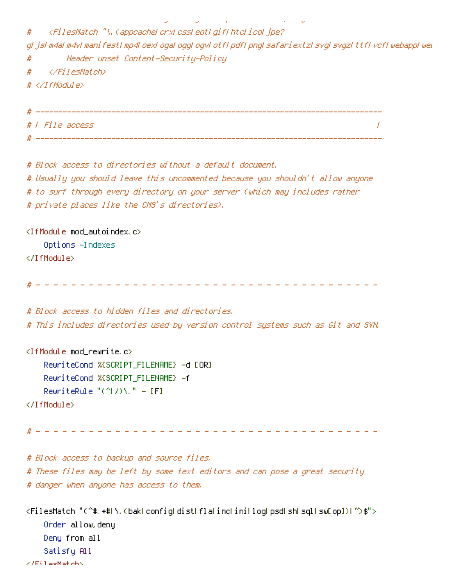```
# Header set Content-Security-Policy "script-src 'self'; object-src 'self'"
# <FilesMatch "\.(appcache|crx|css|eot|gif|htc|ico|jpe?
g|js|m4a|m4v|manifest|mp4|oex|oga|ogg|ogv|otf|pdf|png|safariextz|svg|svgz|ttf|vcf|webapp|wel
# Header unset Content-Security-Policy
# </FilesMatch>
# </IfModule>
# ------------------------------------------------------------------------------
# | File access |
# ------------------------------------------------------------------------------
# Block access to directories without a default document.
# Usually you should leave this uncommented because you shouldn't allow anyone
# to surf through every directory on your server (which may includes rather
# private places like the CMS's directories).
<IfModule mod_autoindex.c>
    Options -Indexes
</IfModule>
  # - - - - - - - - - - - - - - - - - - - - - - - - - - - - - - - - - - - - - - -
# Block access to hidden files and directories.
# This includes directories used by version control systems such as Git and SVN.
<IfModule mod_rewrite.c>
    RewriteCond %{SCRIPT_FILENAME} -d [OR]
    RewriteCond %{SCRIPT_FILENAME} -f
    RewriteRule "(^/)\." - [F]
</IfModule>
# - - - - - - - - - - - - - - - - - - - - - - - - - - - - - - - - - - - - - - -
# Block access to backup and source files.
# These files may be left by some text editors and can pose a great security
# danger when anyone has access to them.
<FilesMatch "(^#.*#|\.(bak|config|dist|fla|inc|ini|log|psd|sh|sql|sw[op])|~)$">
    Order allow,deny
    Deny from all
    Satisfy All
```

```
</FilesMatch>
```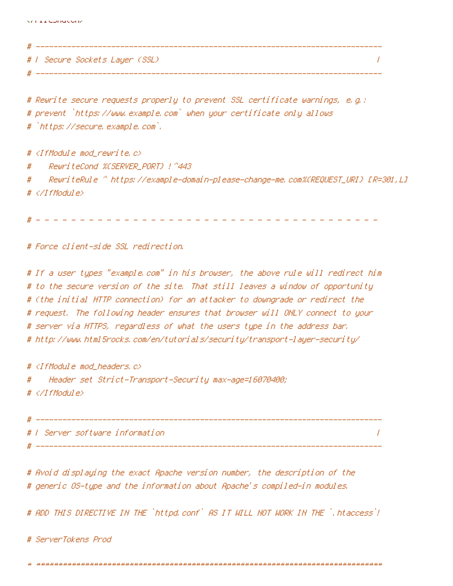# | Secure Sockets Layer (SSL) |

# ------------------------------------------------------------------------------

# Rewrite secure requests properly to prevent SSL certificate warnings, e.g.: # prevent `https://www.example.com` when your certificate only allows # `https://secure.example.com`.

# ------------------------------------------------------------------------------

#  $\triangleleft$  fModule mod rewrite.c> # RewriteCond %{SERVER\_PORT} !^443 # RewriteRule ^ https://example-domain-please-change-me.com%{REQUEST\_URI} [R=301,L] # </IfModule>

# - - - - - - - - - - - - - - - - - - - - - - - - - - - - - - - - - - - - - - -

# Force client-side SSL redirection.

# If <sup>a</sup> user types "example.com" in his browser, the above rule will redirect him # to the secure version of the site. That still leaves <sup>a</sup> window of opportunity # (the initial HTTP connection) for an attacker to downgrade or redirect the # request. The following header ensures that browser will ONLY connect to your # server via HTTPS, regardless of what the users type in the address bar. # http://www.html5rocks.com/en/tutorials/security/transport-layer-security/

# <IfModule mod\_headers.c>

# Header set Strict-Transport-Security max-age=16070400;

# </IfModule>

# ------------------------------------------------------------------------------ # | Server software information | # ------------------------------------------------------------------------------

# Avoid displaying the exact Apache version number, the description of the # generic OS-type and the information about Apache's compiled-in modules.

# ADD THIS DIRECTIVE IN THE `httpd.conf` AS IT WILL NOT WORK IN THE `.htaccess`!

# ServerTokens Prod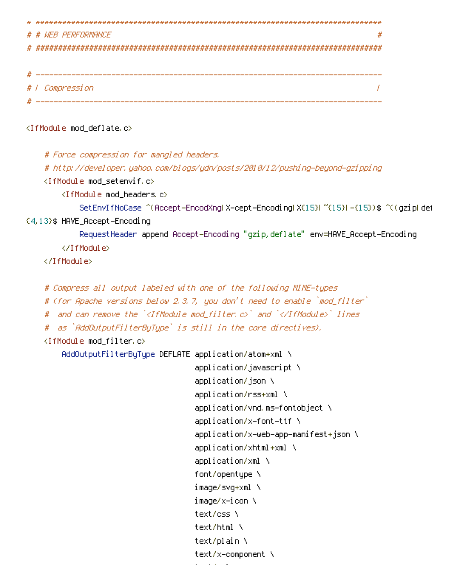| # # WEB PERFORMANCE                      | #                                                                                       |
|------------------------------------------|-----------------------------------------------------------------------------------------|
|                                          |                                                                                         |
|                                          |                                                                                         |
|                                          |                                                                                         |
| #   Compression                          |                                                                                         |
|                                          |                                                                                         |
| <ifmodule mod_deflate.c=""></ifmodule>   |                                                                                         |
| # Force compression for mangled headers. |                                                                                         |
|                                          | #_http://devel.oper.yahoo.com/bl.ogs/ydn/posts/2010/12/pushi.ng-beyond-gzi.ppi.ng       |
| <ifmodule mod_setenvif.c=""></ifmodule>  |                                                                                         |
| <ifmodule mod_headers.c=""></ifmodule>   |                                                                                         |
|                                          | SetEnvIfNoCase ^(Accept-EncodXngl X-cept-Encodingl X(15)) ^(15)) -(15)) \$ ^((gzipl def |
| {4,13}\$ HAVE_Accept-Encoding            |                                                                                         |
|                                          | RequestHeader append Accept-Encoding "gzip, deflate" env=HAVE_Accept-Encoding           |
|                                          |                                                                                         |
|                                          |                                                                                         |
|                                          | # Compress all output labeled with one of the following MIME-types                      |
|                                          | # (for Apache versions below 2.3.7, you don't need to enable `mod_filter`               |
| #                                        | - and can remove the ` <ifmodule mod_filter.c="">` and `</ifmodule> ` lines             |
| #                                        | as `AddOutputFilterByType` is still in the core directives).                            |
| <ifmodule mod_filter.c=""></ifmodule>    |                                                                                         |
|                                          | AddOutputFilterByType DEFLATE application/atom+xml \                                    |
|                                          | application/javascript \                                                                |
|                                          | application/json \                                                                      |
|                                          | application/rss+xml \                                                                   |
|                                          | application/vnd.ms-fontobject \                                                         |
|                                          | $application/x-font-ttf \ \ \backslash$                                                 |
|                                          | application/x-web-app-manifest+json \                                                   |
|                                          | application/xhtml+xml \                                                                 |
|                                          | application/xml \                                                                       |
|                                          | font/opentype \                                                                         |
|                                          | image/svg+xml \                                                                         |
|                                          | image/x−icon \                                                                          |
|                                          | $text/css \setminus$                                                                    |
|                                          | text/html \                                                                             |
|                                          | text/plain \                                                                            |

text/x-component \

 $\mathbf{r}=\mathbf{r}$  and  $\mathbf{r}=\mathbf{r}$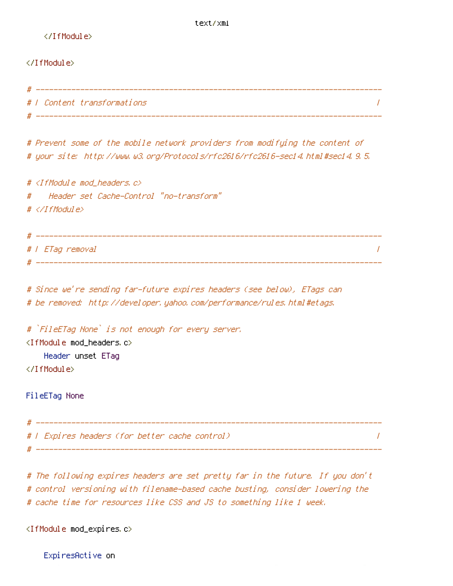</IfModule>

#### </IfModule>

| # |                             |  |
|---|-----------------------------|--|
|   | #   Content transformations |  |
| # |                             |  |

# Prevent some of the mobile network providers from modifying the content of # your site: http://www.w3.org/Protocols/rfc2616/rfc2616-sec14.html#sec14.9.5.

# <IfModule mod\_headers.c> # Header set Cache-Control "no-transform" # </IfModule>

# ------------------------------------------------------------------------------ # | ETag removal | # ------------------------------------------------------------------------------

# Since we're sending far-future expires headers (see below), ETags can # be removed: http://developer.yahoo.com/performance/rules.html#etags.

# `FileETag None` is not enough for every server. <IfModule mod\_headers.c> Header unset ETag </IfModule>

FileETag None

```
# ------------------------------------------------------------------------------
# | Expires headers (for better cache control) |
# ------------------------------------------------------------------------------
```
# The following expires headers are set pretty far in the future. If you don't # control versioning with filename-based cache busting, consider lowering the # cache time for resources like CSS and JS to something like 1 week.

<IfModule mod\_expires.c>

ExpiresActive on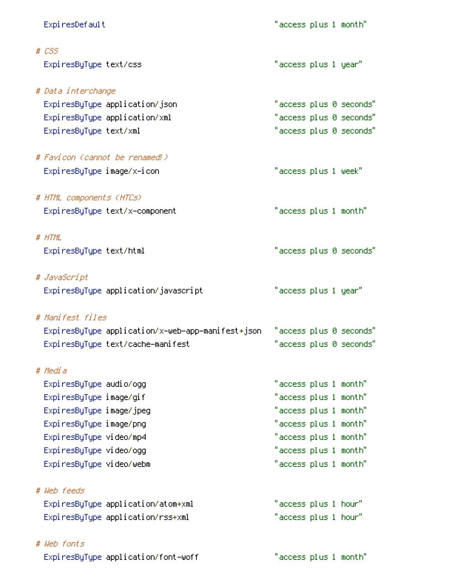| ExpiresDefault                 |                                                   | "access plus 1 month" |  |                         |
|--------------------------------|---------------------------------------------------|-----------------------|--|-------------------------|
| $# \text{ } \mathcal{L}SS$     |                                                   |                       |  |                         |
| ExpiresByType text/css         |                                                   | "access plus 1 year"  |  |                         |
| # Data interchange             |                                                   |                       |  |                         |
| ExpiresByType application/json |                                                   |                       |  | "access plus 0 seconds" |
| ExpiresByType application/xml  |                                                   |                       |  | "access plus 0 seconds" |
| ExpiresByType text/xml         |                                                   |                       |  | "access plus 0 seconds" |
| # Favicon (cannot be renamed!) |                                                   |                       |  |                         |
| ExpiresByType image/x-icon     |                                                   | "access plus 1 week"  |  |                         |
| # HTML components (HTCs)       |                                                   |                       |  |                         |
| ExpiresByType text/x-component |                                                   | "access plus 1 month" |  |                         |
| # HTML                         |                                                   |                       |  |                         |
| ExpiresByType text/html        |                                                   |                       |  | "access plus 0 seconds" |
| # JavaScript                   |                                                   |                       |  |                         |
|                                | ExpiresByType application/javascript              | "access plus 1 year"  |  |                         |
| # Manifest files               |                                                   |                       |  |                         |
|                                | ExpiresByType application/x-web-app-manifest+json |                       |  | "access plus 0 seconds" |
|                                | ExpiresByType text/cache-manifest                 |                       |  | "access plus 0 seconds" |
| # Media                        |                                                   |                       |  |                         |
| Expi resByType audio/ogg       |                                                   | "access plus 1 month" |  |                         |
| ExpiresByType image/gif        |                                                   | "access plus 1 month" |  |                         |
| ExpiresByType image/jpeg       |                                                   | "access plus 1 month" |  |                         |
| ExpiresByType image/png        |                                                   | "access plus 1 month" |  |                         |
| ExpiresByType video/mp4        |                                                   | "access plus 1 month" |  |                         |
| ExpiresByType video/ogg        |                                                   | "access plus 1 month" |  |                         |
| ExpiresByType video/webm       |                                                   | "access plus 1 month" |  |                         |
| # Web feeds                    |                                                   |                       |  |                         |
|                                | ExpiresByType application/atom+xml                | "access plus 1 hour"  |  |                         |
|                                | ExpiresByType application/rss+xml                 | "access plus 1 hour"  |  |                         |
| # Web fonts                    |                                                   |                       |  |                         |
|                                | ExpiresByType application/font-woff               | "access plus 1 month" |  |                         |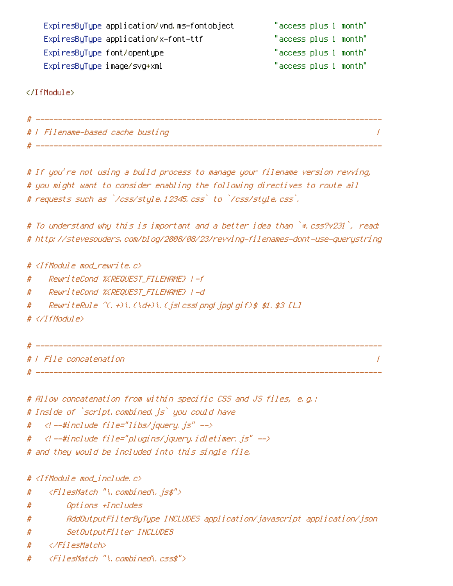| ExpiresByType application/vnd.ms-fontobject | "access plus 1 month" |
|---------------------------------------------|-----------------------|
| ExpiresByType application/x-font-ttf        | "access plus 1 month" |
| ExpiresByType font/opentype                 | "access plus 1 month" |
| ExpiresByType image/svg+xml                 | "access plus 1 month" |

</IfModule>

| # |                                  |  |
|---|----------------------------------|--|
|   | #   Filename-based cache busting |  |

# ------------------------------------------------------------------------------

# If you're not using <sup>a</sup> build process to manage your filename version revving, # you might want to consider enabling the following directives to route all # requests such as `/css/style.12345.css` to `/css/style.css`.

# To understand why this is important and <sup>a</sup> better idea than `\*.css?v231`, read: # http://stevesouders.com/blog/2008/08/23/revving-filenames-dont-use-querystring

#  $\triangleleft$  fModule mod rewrite.c>

- # RewriteCond %{REQUEST\_FILENAME} !-f
- # RewriteCond %{REQUEST\_FILENAME} !-d
- # RewriteRule ^(.+)\.(\d+)\.(js|css|png|jpg|gif)\$ \$1.\$3 [L]

```
# </IfModule>
```

```
# ------------------------------------------------------------------------------
# | File concatenation |
# ------------------------------------------------------------------------------
```

```
# Allow concatenation from within specific CSS and JS files, e.g.:
```
# Inside of `script.combined.js` you could have

```
# <!--#include file="libs/jquery.js" -->
```

```
# <!--#include file="plugins/jquery.idletimer.js" -->
```
# and they would be included into this single file.

#  $\triangleleft$ IfModule mod include.c $\triangleright$ 

- # <FilesMatch "\.combined\.js\$">
- # Options +Includes
- # AddOutputFilterByType INCLUDES application/javascript application/json
- # SetOutputFilter INCLUDES
- # </FilesMatch>
- # <FilesMatch "\.combined\.css\$">